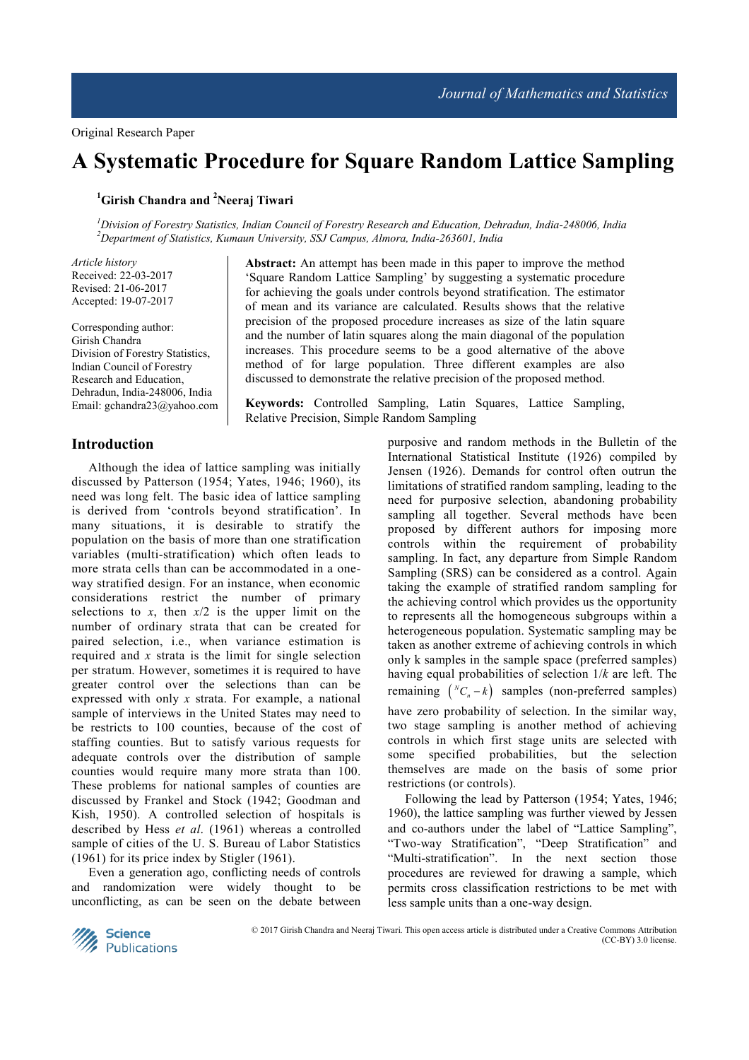# **A Systematic Procedure for Square Random Lattice Sampling**

**<sup>1</sup>Girish Chandra and <sup>2</sup>Neeraj Tiwari**

*<sup>1</sup>Division of Forestry Statistics, Indian Council of Forestry Research and Education, Dehradun, India-248006, India <sup>2</sup>Department of Statistics, Kumaun University, SSJ Campus, Almora, India-263601, India* 

*Article history*  Received: 22-03-2017 Revised: 21-06-2017 Accepted: 19-07-2017

Corresponding author: Girish Chandra Division of Forestry Statistics, Indian Council of Forestry Research and Education, Dehradun, India-248006, India Email: gchandra23@yahoo.com **Abstract:** An attempt has been made in this paper to improve the method 'Square Random Lattice Sampling' by suggesting a systematic procedure for achieving the goals under controls beyond stratification. The estimator of mean and its variance are calculated. Results shows that the relative precision of the proposed procedure increases as size of the latin square and the number of latin squares along the main diagonal of the population increases. This procedure seems to be a good alternative of the above method of for large population. Three different examples are also discussed to demonstrate the relative precision of the proposed method.

**Keywords:** Controlled Sampling, Latin Squares, Lattice Sampling, Relative Precision, Simple Random Sampling

#### **Introduction**

Although the idea of lattice sampling was initially discussed by Patterson (1954; Yates, 1946; 1960), its need was long felt. The basic idea of lattice sampling is derived from 'controls beyond stratification'. In many situations, it is desirable to stratify the population on the basis of more than one stratification variables (multi-stratification) which often leads to more strata cells than can be accommodated in a oneway stratified design. For an instance, when economic considerations restrict the number of primary selections to  $x$ , then  $x/2$  is the upper limit on the number of ordinary strata that can be created for paired selection, i.e., when variance estimation is required and *x* strata is the limit for single selection per stratum. However, sometimes it is required to have greater control over the selections than can be expressed with only *x* strata. For example, a national sample of interviews in the United States may need to be restricts to 100 counties, because of the cost of staffing counties. But to satisfy various requests for adequate controls over the distribution of sample counties would require many more strata than 100. These problems for national samples of counties are discussed by Frankel and Stock (1942; Goodman and Kish, 1950). A controlled selection of hospitals is described by Hess *et al*. (1961) whereas a controlled sample of cities of the U. S. Bureau of Labor Statistics (1961) for its price index by Stigler (1961).

Even a generation ago, conflicting needs of controls and randomization were widely thought to be unconflicting, as can be seen on the debate between purposive and random methods in the Bulletin of the International Statistical Institute (1926) compiled by Jensen (1926). Demands for control often outrun the limitations of stratified random sampling, leading to the need for purposive selection, abandoning probability sampling all together. Several methods have been proposed by different authors for imposing more controls within the requirement of probability sampling. In fact, any departure from Simple Random Sampling (SRS) can be considered as a control. Again taking the example of stratified random sampling for the achieving control which provides us the opportunity to represents all the homogeneous subgroups within a heterogeneous population. Systematic sampling may be taken as another extreme of achieving controls in which only k samples in the sample space (preferred samples) having equal probabilities of selection 1/*k* are left. The remaining  $\binom{N}{n} - k$  samples (non-preferred samples) have zero probability of selection. In the similar way, two stage sampling is another method of achieving

controls in which first stage units are selected with some specified probabilities, but the selection themselves are made on the basis of some prior restrictions (or controls).

Following the lead by Patterson (1954; Yates, 1946; 1960), the lattice sampling was further viewed by Jessen and co-authors under the label of "Lattice Sampling", "Two-way Stratification", "Deep Stratification" and "Multi-stratification". In the next section those procedures are reviewed for drawing a sample, which permits cross classification restrictions to be met with less sample units than a one-way design.



 © 2017 Girish Chandra and Neeraj Tiwari. This open access article is distributed under a Creative Commons Attribution (CC-BY) 3.0 license.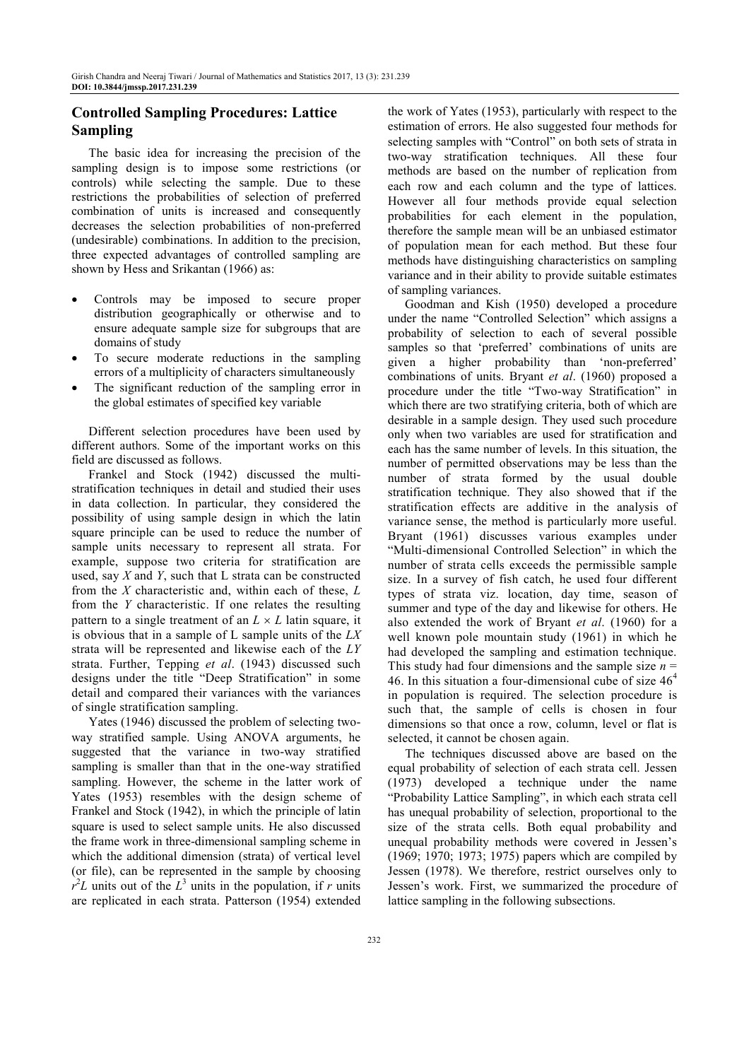# **Controlled Sampling Procedures: Lattice Sampling**

The basic idea for increasing the precision of the sampling design is to impose some restrictions (or controls) while selecting the sample. Due to these restrictions the probabilities of selection of preferred combination of units is increased and consequently decreases the selection probabilities of non-preferred (undesirable) combinations. In addition to the precision, three expected advantages of controlled sampling are shown by Hess and Srikantan (1966) as:

- Controls may be imposed to secure proper distribution geographically or otherwise and to ensure adequate sample size for subgroups that are domains of study
- To secure moderate reductions in the sampling errors of a multiplicity of characters simultaneously
- The significant reduction of the sampling error in the global estimates of specified key variable

Different selection procedures have been used by different authors. Some of the important works on this field are discussed as follows.

Frankel and Stock (1942) discussed the multistratification techniques in detail and studied their uses in data collection. In particular, they considered the possibility of using sample design in which the latin square principle can be used to reduce the number of sample units necessary to represent all strata. For example, suppose two criteria for stratification are used, say *X* and *Y*, such that L strata can be constructed from the *X* characteristic and, within each of these, *L* from the *Y* characteristic. If one relates the resulting pattern to a single treatment of an  $L \times L$  latin square, it is obvious that in a sample of L sample units of the *LX* strata will be represented and likewise each of the *LY* strata. Further, Tepping *et al*. (1943) discussed such designs under the title "Deep Stratification" in some detail and compared their variances with the variances of single stratification sampling.

Yates (1946) discussed the problem of selecting twoway stratified sample. Using ANOVA arguments, he suggested that the variance in two-way stratified sampling is smaller than that in the one-way stratified sampling. However, the scheme in the latter work of Yates (1953) resembles with the design scheme of Frankel and Stock (1942), in which the principle of latin square is used to select sample units. He also discussed the frame work in three-dimensional sampling scheme in which the additional dimension (strata) of vertical level (or file), can be represented in the sample by choosing  $r^2L$  units out of the  $L^3$  units in the population, if *r* units are replicated in each strata. Patterson (1954) extended

the work of Yates (1953), particularly with respect to the estimation of errors. He also suggested four methods for selecting samples with "Control" on both sets of strata in two-way stratification techniques. All these four methods are based on the number of replication from each row and each column and the type of lattices. However all four methods provide equal selection probabilities for each element in the population, therefore the sample mean will be an unbiased estimator of population mean for each method. But these four methods have distinguishing characteristics on sampling variance and in their ability to provide suitable estimates of sampling variances.

Goodman and Kish (1950) developed a procedure under the name "Controlled Selection" which assigns a probability of selection to each of several possible samples so that 'preferred' combinations of units are given a higher probability than 'non-preferred' combinations of units. Bryant *et al*. (1960) proposed a procedure under the title "Two-way Stratification" in which there are two stratifying criteria, both of which are desirable in a sample design. They used such procedure only when two variables are used for stratification and each has the same number of levels. In this situation, the number of permitted observations may be less than the number of strata formed by the usual double stratification technique. They also showed that if the stratification effects are additive in the analysis of variance sense, the method is particularly more useful. Bryant (1961) discusses various examples under "Multi-dimensional Controlled Selection" in which the number of strata cells exceeds the permissible sample size. In a survey of fish catch, he used four different types of strata viz. location, day time, season of summer and type of the day and likewise for others. He also extended the work of Bryant *et al*. (1960) for a well known pole mountain study (1961) in which he had developed the sampling and estimation technique. This study had four dimensions and the sample size  $n =$ 46. In this situation a four-dimensional cube of size  $46<sup>4</sup>$ in population is required. The selection procedure is such that, the sample of cells is chosen in four dimensions so that once a row, column, level or flat is selected, it cannot be chosen again.

The techniques discussed above are based on the equal probability of selection of each strata cell. Jessen (1973) developed a technique under the name "Probability Lattice Sampling", in which each strata cell has unequal probability of selection, proportional to the size of the strata cells. Both equal probability and unequal probability methods were covered in Jessen's (1969; 1970; 1973; 1975) papers which are compiled by Jessen (1978). We therefore, restrict ourselves only to Jessen's work. First, we summarized the procedure of lattice sampling in the following subsections.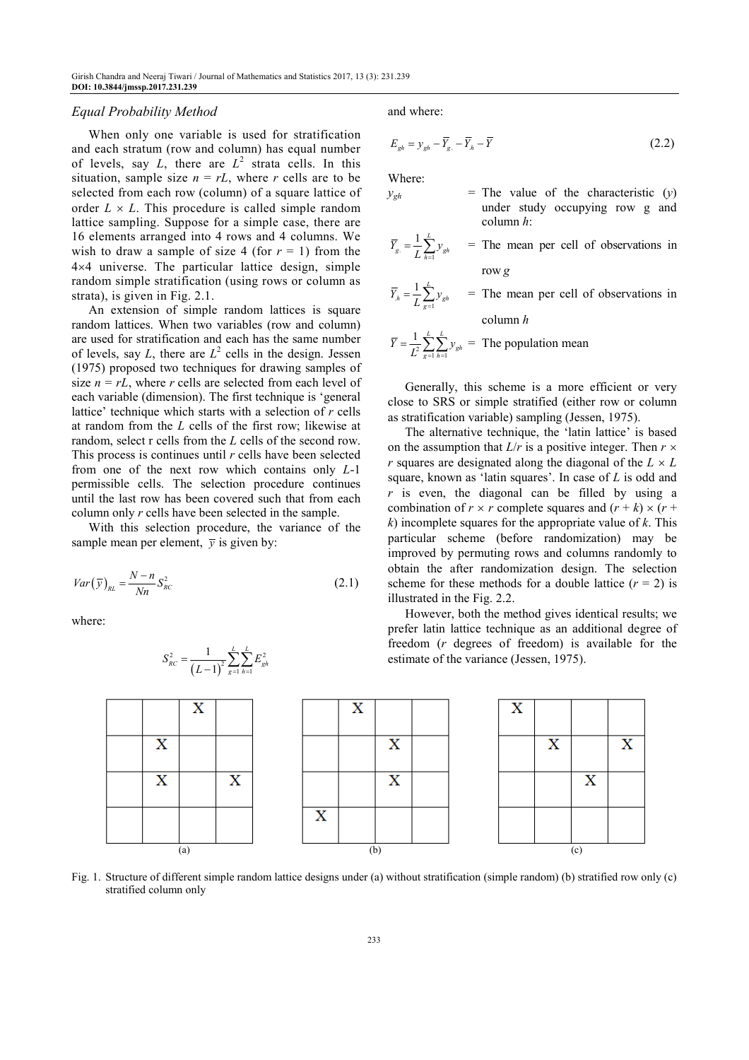#### *Equal Probability Method*

When only one variable is used for stratification and each stratum (row and column) has equal number of levels, say  $L$ , there are  $L^2$  strata cells. In this situation, sample size  $n = rL$ , where *r* cells are to be selected from each row (column) of a square lattice of order  $L \times L$ . This procedure is called simple random lattice sampling. Suppose for a simple case, there are 16 elements arranged into 4 rows and 4 columns. We wish to draw a sample of size 4 (for  $r = 1$ ) from the 4×4 universe. The particular lattice design, simple random simple stratification (using rows or column as strata), is given in Fig. 2.1.

An extension of simple random lattices is square random lattices. When two variables (row and column) are used for stratification and each has the same number of levels, say  $L$ , there are  $L^2$  cells in the design. Jessen (1975) proposed two techniques for drawing samples of size  $n = rL$ , where *r* cells are selected from each level of each variable (dimension). The first technique is 'general lattice' technique which starts with a selection of *r* cells at random from the *L* cells of the first row; likewise at random, select r cells from the *L* cells of the second row. This process is continues until *r* cells have been selected from one of the next row which contains only *L*-1 permissible cells. The selection procedure continues until the last row has been covered such that from each column only *r* cells have been selected in the sample.

With this selection procedure, the variance of the sample mean per element,  $\bar{y}$  is given by:

$$
Var(\overline{y})_{RL} = \frac{N - n}{Nn} S_{RC}^2
$$
 (2.1)

where:





and where:

$$
E_{gh} = y_{gh} - \overline{Y}_{g.} - \overline{Y}_{h} - \overline{Y}
$$
\n(2.2)

Where:

$$
y_{gh}
$$
 = The value of the characteristic (y)  
under study occupying row g and  
column h:

$$
\overline{Y}_{g.} = \frac{1}{L} \sum_{h=1}^{L} y_{gh} = \text{The mean per cell of observations in}
$$
\n
$$
\text{row } g
$$

$$
\overline{Y}_h = \frac{1}{L} \sum_{g=1}^L y_{gh} \qquad \text{The mean per cell of observations in}
$$

column *h*

$$
\overline{Y} = \frac{1}{L^2} \sum_{g=1}^{L} \sum_{h=1}^{L} y_{gh} = \text{The population mean}
$$

Generally, this scheme is a more efficient or very close to SRS or simple stratified (either row or column as stratification variable) sampling (Jessen, 1975).

The alternative technique, the 'latin lattice' is based on the assumption that  $L/r$  is a positive integer. Then  $r \times$ *r* squares are designated along the diagonal of the  $L \times L$ square, known as 'latin squares'. In case of *L* is odd and  $r$  is even, the diagonal can be filled by using a combination of  $r \times r$  complete squares and  $(r + k) \times (r + k)$ *k*) incomplete squares for the appropriate value of *k*. This particular scheme (before randomization) may be improved by permuting rows and columns randomly to obtain the after randomization design. The selection scheme for these methods for a double lattice  $(r = 2)$  is illustrated in the Fig. 2.2.

However, both the method gives identical results; we prefer latin lattice technique as an additional degree of freedom (*r* degrees of freedom) is available for the estimate of the variance (Jessen, 1975).



Fig. 1. Structure of different simple random lattice designs under (a) without stratification (simple random) (b) stratified row only (c) stratified column only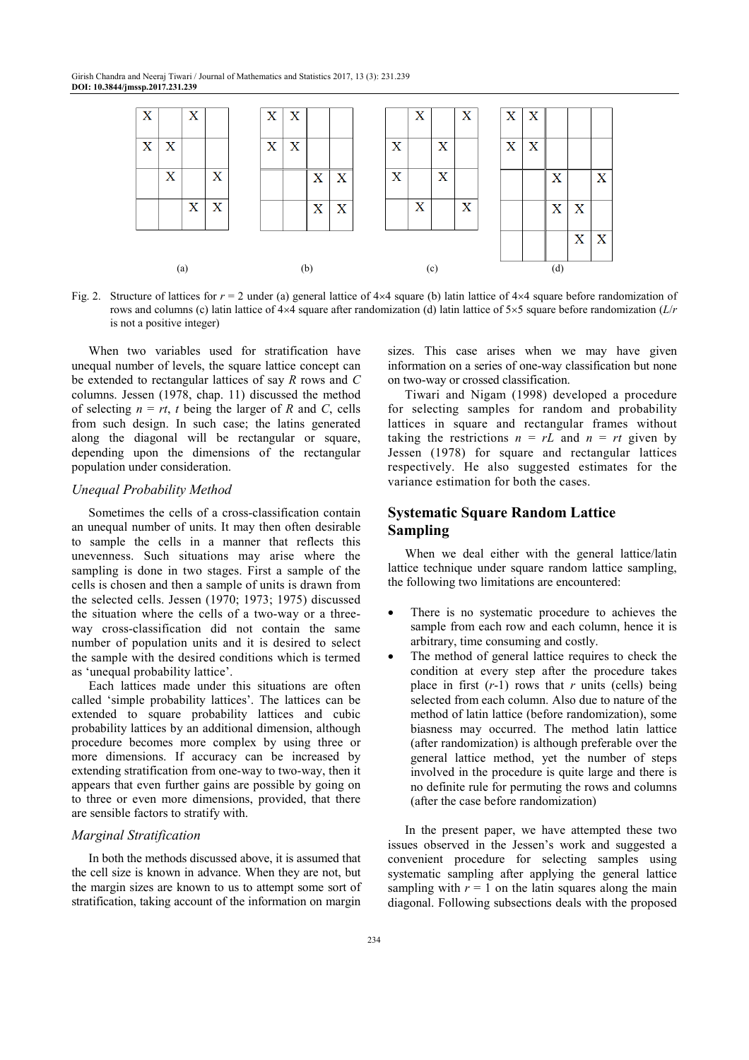

Fig. 2. Structure of lattices for  $r = 2$  under (a) general lattice of  $4 \times 4$  square (b) latin lattice of  $4 \times 4$  square before randomization of rows and columns (c) latin lattice of 4×4 square after randomization (d) latin lattice of 5×5 square before randomization (*L*/*r* is not a positive integer)

When two variables used for stratification have unequal number of levels, the square lattice concept can be extended to rectangular lattices of say *R* rows and *C* columns. Jessen (1978, chap. 11) discussed the method of selecting  $n = rt$ , *t* being the larger of *R* and *C*, cells from such design. In such case; the latins generated along the diagonal will be rectangular or square, depending upon the dimensions of the rectangular population under consideration.

#### *Unequal Probability Method*

Sometimes the cells of a cross-classification contain an unequal number of units. It may then often desirable to sample the cells in a manner that reflects this unevenness. Such situations may arise where the sampling is done in two stages. First a sample of the cells is chosen and then a sample of units is drawn from the selected cells. Jessen (1970; 1973; 1975) discussed the situation where the cells of a two-way or a threeway cross-classification did not contain the same number of population units and it is desired to select the sample with the desired conditions which is termed as 'unequal probability lattice'.

Each lattices made under this situations are often called 'simple probability lattices'. The lattices can be extended to square probability lattices and cubic probability lattices by an additional dimension, although procedure becomes more complex by using three or more dimensions. If accuracy can be increased by extending stratification from one-way to two-way, then it appears that even further gains are possible by going on to three or even more dimensions, provided, that there are sensible factors to stratify with.

## *Marginal Stratification*

In both the methods discussed above, it is assumed that the cell size is known in advance. When they are not, but the margin sizes are known to us to attempt some sort of stratification, taking account of the information on margin

sizes. This case arises when we may have given information on a series of one-way classification but none on two-way or crossed classification.

Tiwari and Nigam (1998) developed a procedure for selecting samples for random and probability lattices in square and rectangular frames without taking the restrictions  $n = rL$  and  $n = rt$  given by Jessen (1978) for square and rectangular lattices respectively. He also suggested estimates for the variance estimation for both the cases.

# **Systematic Square Random Lattice Sampling**

When we deal either with the general lattice/latin lattice technique under square random lattice sampling, the following two limitations are encountered:

- There is no systematic procedure to achieves the sample from each row and each column, hence it is arbitrary, time consuming and costly.
- The method of general lattice requires to check the condition at every step after the procedure takes place in first  $(r-1)$  rows that *r* units (cells) being selected from each column. Also due to nature of the method of latin lattice (before randomization), some biasness may occurred. The method latin lattice (after randomization) is although preferable over the general lattice method, yet the number of steps involved in the procedure is quite large and there is no definite rule for permuting the rows and columns (after the case before randomization)

In the present paper, we have attempted these two issues observed in the Jessen's work and suggested a convenient procedure for selecting samples using systematic sampling after applying the general lattice sampling with  $r = 1$  on the latin squares along the main diagonal. Following subsections deals with the proposed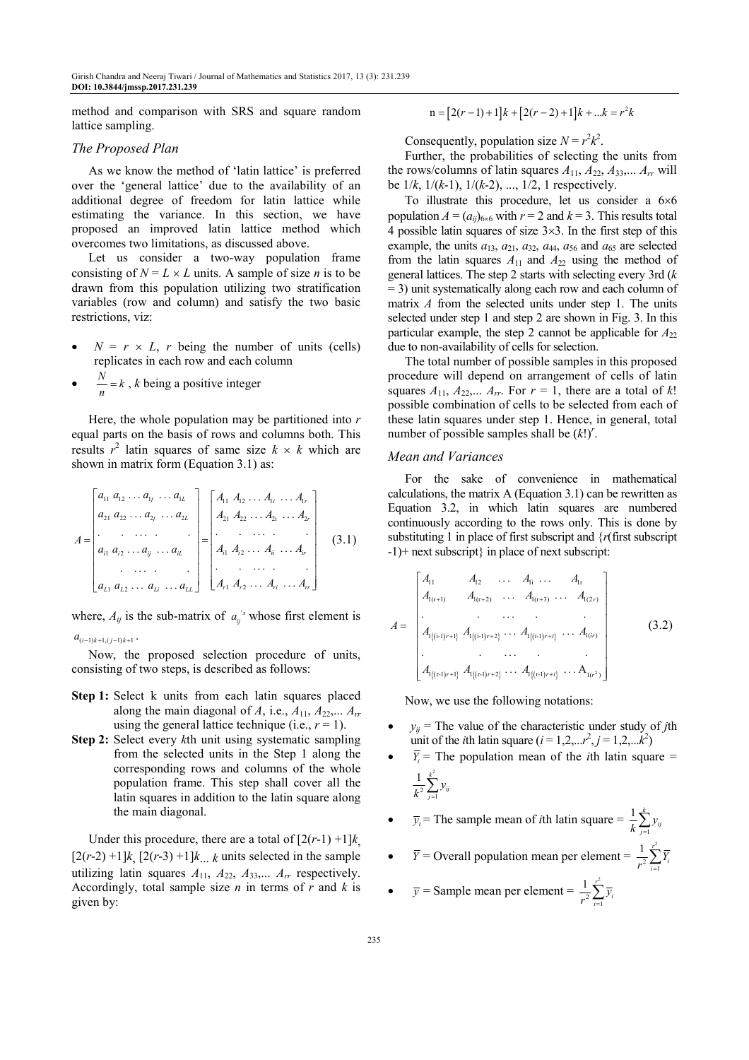method and comparison with SRS and square random lattice sampling.

### *The Proposed Plan*

As we know the method of 'latin lattice' is preferred over the 'general lattice' due to the availability of an additional degree of freedom for latin lattice while estimating the variance. In this section, we have proposed an improved latin lattice method which overcomes two limitations, as discussed above.

Let us consider a two-way population frame consisting of  $N = L \times L$  units. A sample of size *n* is to be drawn from this population utilizing two stratification variables (row and column) and satisfy the two basic restrictions, viz:

- $N = r \times L$ , *r* being the number of units (cells) replicates in each row and each column
- $\frac{N}{n} = k$ , *k* being a positive integer

Here, the whole population may be partitioned into *r* equal parts on the basis of rows and columns both. This results  $r^2$  latin squares of same size  $k \times k$  which are shown in matrix form (Equation 3.1) as:

$$
A = \begin{bmatrix} a_{11} & a_{12} & \dots & a_{1j} & \dots & a_{1L} \\ a_{21} & a_{22} & \dots & a_{2j} & \dots & a_{2L} \\ \vdots & \vdots & \vdots & \ddots & \vdots & \vdots \\ a_{i1} & a_{i2} & \dots & a_{ij} & \dots & a_{iL} \\ \vdots & \vdots & \vdots & \vdots & \vdots & \vdots & \vdots \\ a_{i1} & a_{i2} & \dots & a_{iL} & \dots & a_{iL} \end{bmatrix} = \begin{bmatrix} A_{11} & A_{12} & \dots & A_{1i} & \dots & A_{1r} \\ A_{21} & A_{22} & \dots & A_{2i} & \dots & A_{2r} \\ \vdots & \vdots & \vdots & \ddots & \vdots & \vdots \\ A_{i1} & A_{i2} & \dots & A_{ii} & \dots & A_{ir} \\ \vdots & \vdots & \vdots & \ddots & \vdots & \vdots \\ A_{r1} & A_{r2} & \dots & A_{ri} & \dots & A_{rr} \end{bmatrix}
$$
(3.1)

where,  $A_{ij}$  is the sub-matrix of  $a_{ij}$ <sup>'</sup> whose first element is  $a_{(i-1)k+1,(i-1)k+1}$ .

Now, the proposed selection procedure of units, consisting of two steps, is described as follows:

- **Step 1:** Select k units from each latin squares placed along the main diagonal of *A*, i.e.,  $A_{11}$ ,  $A_{22}$ ,...  $A_{rr}$ using the general lattice technique (i.e.,  $r = 1$ ).
- **Step 2:** Select every *k*th unit using systematic sampling from the selected units in the Step 1 along the corresponding rows and columns of the whole population frame. This step shall cover all the latin squares in addition to the latin square along the main diagonal.

Under this procedure, there are a total of  $[2(r-1) +1]k$  $[2(r-2) + 1]k$ ,  $[2(r-3) + 1]k$ ... *k* units selected in the sample utilizing latin squares  $A_{11}$ ,  $A_{22}$ ,  $A_{33}$ ,...  $A_{rr}$  respectively. Accordingly, total sample size *n* in terms of *r* and *k* is given by:

$$
n = [2(r-1)+1]k + [2(r-2)+1]k + ...k = r^2k
$$

Consequently, population size  $N = r^2 k^2$ .

 Further, the probabilities of selecting the units from the rows/columns of latin squares  $A_{11}$ ,  $A_{22}$ ,  $A_{33}$ ,...  $A_{rr}$  will be 1/*k*, 1/(*k*-1), 1/(*k*-2), ..., 1/2, 1 respectively.

To illustrate this procedure, let us consider a 6×6 population  $A = (a_{ij})_{6\times6}$  with  $r = 2$  and  $k = 3$ . This results total 4 possible latin squares of size  $3\times3$ . In the first step of this example, the units  $a_{13}$ ,  $a_{21}$ ,  $a_{32}$ ,  $a_{44}$ ,  $a_{56}$  and  $a_{65}$  are selected from the latin squares  $A_{11}$  and  $A_{22}$  using the method of general lattices. The step 2 starts with selecting every 3rd (*k* = 3) unit systematically along each row and each column of matrix *A* from the selected units under step 1. The units selected under step 1 and step 2 are shown in Fig. 3. In this particular example, the step 2 cannot be applicable for  $A_{22}$ due to non-availability of cells for selection.

The total number of possible samples in this proposed procedure will depend on arrangement of cells of latin squares  $A_{11}$ ,  $A_{22}$ ,...  $A_{rr}$ . For  $r = 1$ , there are a total of *k*! possible combination of cells to be selected from each of these latin squares under step 1. Hence, in general, total number of possible samples shall be  $(k!)^r$ .

#### *Mean and Variances*

2  $\sum_{j=1}$ 

For the sake of convenience in mathematical calculations, the matrix A (Equation 3.1) can be rewritten as Equation 3.2, in which latin squares are numbered continuously according to the rows only. This is done by substituting 1 in place of first subscript and {*r*(first subscript -1)+ next subscript} in place of next subscript:

$$
A = \begin{bmatrix} A_{11} & A_{12} & \dots & A_{1i} & \dots & A_{1r} \\ A_{1(r+1)} & A_{1(r+2)} & \dots & A_{1(r+3)} & \dots & A_{1(2r)} \\ \vdots & \vdots & \ddots & \vdots & \vdots \\ A_{1\{(i-1)r+1\}} & A_{1\{(i-1)r+2\}} & \dots & A_{1\{(i-1)r+i\}} & \dots & A_{1(r)} \\ \vdots & \vdots & \ddots & \vdots & \vdots \\ A_{1\{(r-1)r+1\}} & A_{1\{(r-1)r+2\}} & \dots & A_{1\{(r-1)r+i\}} & \dots & A_{1(r^2)} \end{bmatrix}
$$
(3.2)

Now, we use the following notations:

- $y_{ij}$  = The value of the characteristic under study of *j*th unit of the *i*th latin square  $(i = 1, 2, \ldots r^2, j = 1, 2, \ldots k^2)$
- $\overline{Y_i}$  = The population mean of the *i*th latin square = 1 *k*  $\frac{1}{k^2} \sum_{j=1} y_{ij}$
- $\bar{y}_i$  = The sample mean of *i*th latin square =  $\frac{1}{k} \sum_{j=1}^{k}$ 1 *k*  $\frac{1}{k}\sum_{j=1}^{k}$
- $\overline{Y}$  = Overall population mean per element =  $\frac{1}{2} \sum_{i=1}^{n}$ 2  $L_{i=1}$ 1 *r*  $\frac{1}{r^2}$  $\sum_{i=1}$  $\overline{Y}_i$
- $\bar{y}$  = Sample mean per element =  $\frac{1}{2}\sum_{i=1}^{n}$ 2  $L_{i=1}$ 1 *r*  $\frac{1}{r^2}\sum_{i=1}^r \overline{y}_i$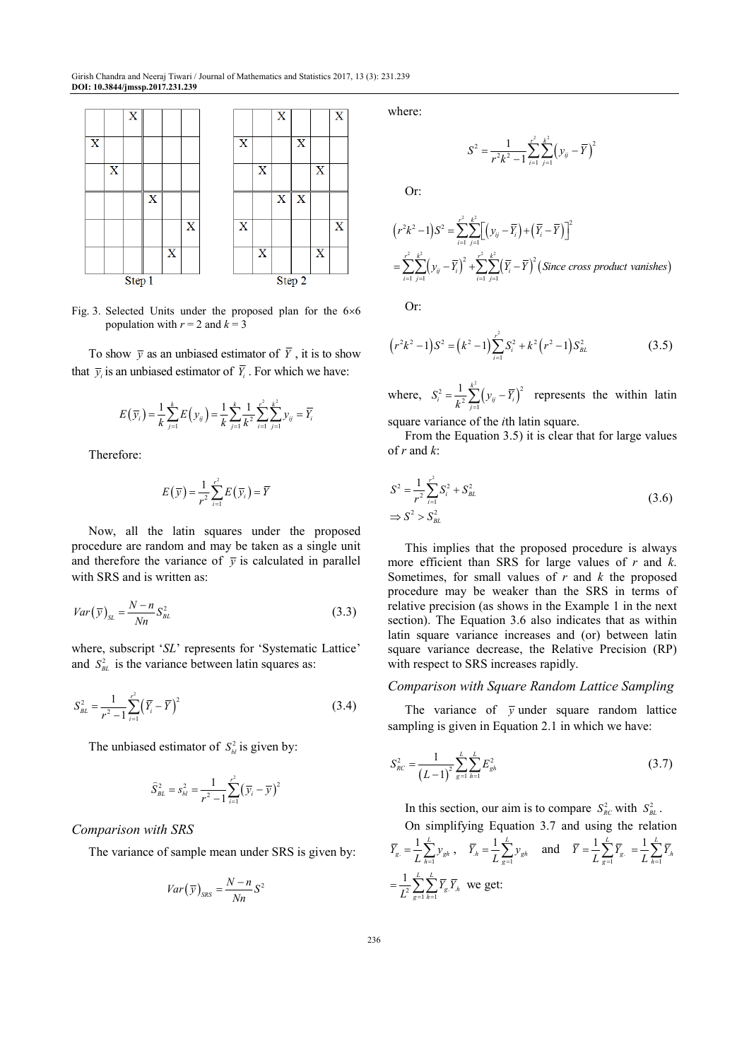

Fig. 3. Selected Units under the proposed plan for the  $6\times6$ population with  $r = 2$  and  $k = 3$ 

To show  $\bar{y}$  as an unbiased estimator of  $\bar{Y}$ , it is to show that  $\overline{y}_i$  is an unbiased estimator of  $\overline{Y}_i$ . For which we have:

$$
E(\bar{y}_i) = \frac{1}{k} \sum_{j=1}^{k} E(y_{ij}) = \frac{1}{k} \sum_{j=1}^{k} \frac{1}{k^2} \sum_{i=1}^{r^2} \sum_{j=1}^{k^2} y_{ij} = \overline{Y}_i
$$

Therefore:

$$
E(\overline{y}) = \frac{1}{r^2} \sum_{i=1}^{r^2} E(\overline{y}_i) = \overline{Y}
$$

Now, all the latin squares under the proposed procedure are random and may be taken as a single unit and therefore the variance of  $\bar{y}$  is calculated in parallel with SRS and is written as:

$$
Var(\bar{y})_{SL} = \frac{N-n}{Nn} S_{BL}^2
$$
\n(3.3)

where, subscript '*SL*' represents for 'Systematic Lattice' and  $S_{BL}^2$  is the variance between latin squares as:

$$
S_{BL}^{2} = \frac{1}{r^{2} - 1} \sum_{i=1}^{r^{2}} (\overline{Y}_{i} - \overline{Y})^{2}
$$
 (3.4)

The unbiased estimator of  $S<sub>bl</sub><sup>2</sup>$  is given by:

$$
\widehat{S}_{BL}^2 = s_{bl}^2 = \frac{1}{r^2 - 1} \sum_{i=1}^{r^2} (\overline{y}_i - \overline{y})^2
$$

## *Comparison with SRS*

The variance of sample mean under SRS is given by:

$$
Var\left(\overline{y}\right)_{SRS} = \frac{N-n}{Nn}S^2
$$

where:

$$
S^{2} = \frac{1}{r^{2}k^{2} - 1} \sum_{i=1}^{r^{2}} \sum_{j=1}^{k^{2}} (y_{ij} - \overline{Y})^{2}
$$

Or:

$$
\begin{aligned} &\left(r^2k^2-1\right)S^2 = \sum_{i=1}^r \sum_{j=1}^{k^2} \Big[ \left(y_{ij}-\overline{Y}_i\right) + \left(\overline{Y}_i-\overline{Y}\right) \Big]^2\\ &= \sum_{i=1}^r \sum_{j=1}^{k^2} \left(y_{ij}-\overline{Y}_i\right)^2 + \sum_{i=1}^r \sum_{j=1}^{k^2} \left(\overline{Y}_i-\overline{Y}\right)^2 \left(\text{Since cross product vanishes}\right) \end{aligned}
$$

Or:

$$
\left(r^{2}k^{2}-1\right)S^{2}=\left(k^{2}-1\right)\sum_{i=1}^{r^{2}}S_{i}^{2}+k^{2}\left(r^{2}-1\right)S_{BL}^{2}\tag{3.5}
$$

where,  $S_i^2 = \frac{1}{k^2} \sum_{j=1}^{k^2} (y_{ij} - \overline{Y}_i)^2$ 1 *k*  $S_i^2 = \frac{1}{k^2} \sum_{j=1}^{k} (y_{ij} - \overline{Y}_i)^2$  represents the within latin

square variance of the *i*th latin square.

From the Equation 3.5) it is clear that for large values of *r* and *k*:

$$
S^{2} = \frac{1}{r^{2}} \sum_{i=1}^{r^{2}} S_{i}^{2} + S_{BL}^{2}
$$
  
\n
$$
\Rightarrow S^{2} > S_{BL}^{2}
$$
\n(3.6)

This implies that the proposed procedure is always more efficient than SRS for large values of *r* and *k*. Sometimes, for small values of *r* and *k* the proposed procedure may be weaker than the SRS in terms of relative precision (as shows in the Example 1 in the next section). The Equation 3.6 also indicates that as within latin square variance increases and (or) between latin square variance decrease, the Relative Precision (RP) with respect to SRS increases rapidly.

## *Comparison with Square Random Lattice Sampling*

The variance of  $\bar{y}$  under square random lattice sampling is given in Equation 2.1 in which we have:

$$
S_{RC}^2 = \frac{1}{(L-1)^2} \sum_{g=1}^{L} \sum_{h=1}^{L} E_{gh}^2
$$
 (3.7)

In this section, our aim is to compare  $S_{RC}^2$  with  $S_{BL}^2$ .

On simplifying Equation 3.7 and using the relation 
$$
\frac{1}{2}
$$

$$
\overline{Y}_{g.} = \frac{1}{L} \sum_{h=1}^{L} y_{gh}, \quad \overline{Y}_{h} = \frac{1}{L} \sum_{g=1}^{L} y_{gh} \quad \text{and} \quad \overline{Y} = \frac{1}{L} \sum_{g=1}^{L} \overline{Y}_{g.} = \frac{1}{L} \sum_{h=1}^{L} \overline{Y}_{h}
$$
\n
$$
= \frac{1}{L^{2}} \sum_{g=1}^{L} \sum_{h=1}^{L} \overline{Y}_{g.} \overline{Y}_{h} \text{ we get:}
$$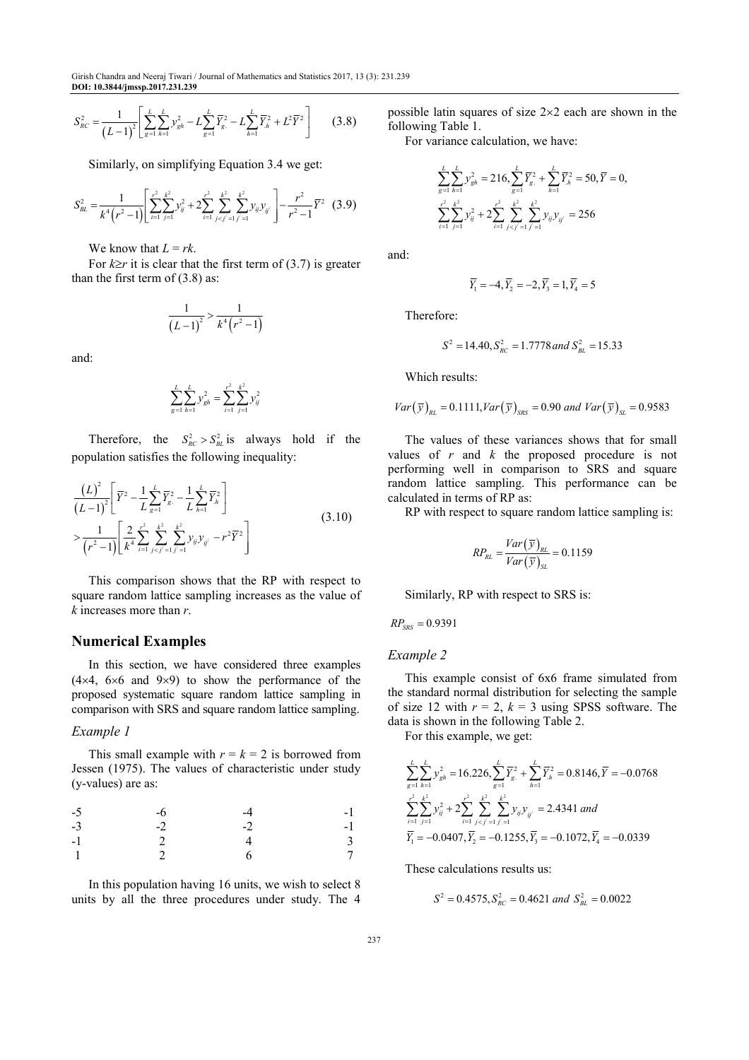$$
S_{RC}^2 = \frac{1}{(L-1)^2} \left[ \sum_{g=1}^{L} \sum_{h=1}^{L} y_{gh}^2 - L \sum_{g=1}^{L} \overline{Y}_{g}^2 - L \sum_{h=1}^{L} \overline{Y}_{h}^2 + L^2 \overline{Y}^2 \right]
$$
(3.8)

Similarly, on simplifying Equation 3.4 we get:

$$
S_{BL}^{2} = \frac{1}{k^{4}(r^{2}-1)} \left[ \sum_{i=1}^{r^{2}} \sum_{j=1}^{k^{2}} y_{ij}^{2} + 2 \sum_{i=1}^{r^{2}} \sum_{j
$$

We know that  $L = rk$ .

For  $k \ge r$  it is clear that the first term of (3.7) is greater than the first term of  $(3.8)$  as:

$$
\frac{1}{(L-1)^2} > \frac{1}{k^4(r^2-1)}
$$

and:

$$
\sum_{g=1}^{L} \sum_{h=1}^{L} y_{gh}^2 = \sum_{i=1}^{r^2} \sum_{j=1}^{k^2} y_{ij}^2
$$

Therefore, the  $S_{RC}^2 > S_{BL}^2$  is always hold if the population satisfies the following inequality:

$$
\frac{(L)^2}{(L-1)^2} \left[ \overline{Y}^2 - \frac{1}{L} \sum_{g=1}^L \overline{Y}_{g}^2 - \frac{1}{L} \sum_{h=1}^L \overline{Y}_{h}^2 \right] \\
> \frac{1}{\left(r^2 - 1\right)} \left[ \frac{2}{k^4} \sum_{i=1}^{r^2} \sum_{j < j' = 1}^{k^2} \sum_{j'=1}^{k^2} y_{ij} y_{j'} - r^2 \overline{Y}^2 \right] \tag{3.10}
$$

This comparison shows that the RP with respect to square random lattice sampling increases as the value of *k* increases more than *r*.

#### **Numerical Examples**

In this section, we have considered three examples  $(4\times4, 6\times6$  and  $9\times9)$  to show the performance of the proposed systematic square random lattice sampling in comparison with SRS and square random lattice sampling.

#### *Example 1*

This small example with  $r = k = 2$  is borrowed from Jessen (1975). The values of characteristic under study (y-values) are as:

| $-5$<br>$-3$ | $-6$ | $-4$           | $-1$           |
|--------------|------|----------------|----------------|
|              | $-2$ | $-2$           | $-1$           |
| $-1$         |      | $\overline{4}$ | $\overline{3}$ |
| $\mathbf{1}$ |      | 6              | $\overline{7}$ |

In this population having 16 units, we wish to select 8 units by all the three procedures under study. The 4 possible latin squares of size  $2\times 2$  each are shown in the following Table 1.

For variance calculation, we have:

$$
\sum_{g=1}^{L} \sum_{h=1}^{L} y_{gh}^{2} = 216, \sum_{g=1}^{L} \overline{Y}_{g}^{2} + \sum_{h=1}^{L} \overline{Y}_{h}^{2} = 50, \overline{Y} = 0,
$$
  

$$
\sum_{i=1}^{L} \sum_{j=1}^{k^{2}} y_{ij}^{2} + 2 \sum_{i=1}^{L} \sum_{j < j' = 1}^{k^{2}} \sum_{j'=1}^{k^{2}} y_{ij} y_{ij'} = 256
$$

and:

$$
\overline{Y}_1 = -4, \overline{Y}_2 = -2, \overline{Y}_3 = 1, \overline{Y}_4 = 5
$$

Therefore:

$$
S^2 = 14.40, S_{RC}^2 = 1.7778 \text{ and } S_{BL}^2 = 15.33
$$

Which results:

$$
Var\left(\overline{y}\right)_{RL} = 0.1111, Var\left(\overline{y}\right)_{SRS} = 0.90 \text{ and } Var\left(\overline{y}\right)_{SL} = 0.9583
$$

The values of these variances shows that for small values of *r* and *k* the proposed procedure is not performing well in comparison to SRS and square random lattice sampling. This performance can be calculated in terms of RP as:

RP with respect to square random lattice sampling is:

$$
RP_{RL} = \frac{Var\left(\overline{y}\right)_{RL}}{Var\left(\overline{y}\right)_{SL}} = 0.1159
$$

Similarly, RP with respect to SRS is:

 $RP_{SRS} = 0.9391$ 

#### *Example 2*

This example consist of 6x6 frame simulated from the standard normal distribution for selecting the sample of size 12 with  $r = 2$ ,  $k = 3$  using SPSS software. The data is shown in the following Table 2.

For this example, we get:

$$
\sum_{g=1}^{L} \sum_{h=1}^{L} y_{gh}^{2} = 16.226, \sum_{g=1}^{L} \overline{Y}_{g}^{2} + \sum_{h=1}^{L} \overline{Y}_{h}^{2} = 0.8146, \overline{Y} = -0.0768
$$
\n
$$
\sum_{i=1}^{L^{2}} \sum_{j=1}^{k^{2}} y_{ij}^{2} + 2 \sum_{i=1}^{L^{2}} \sum_{j\n
$$
\overline{Y}_{1} = -0.0407, \overline{Y}_{2} = -0.1255, \overline{Y}_{3} = -0.1072, \overline{Y}_{4} = -0.0339
$$
$$

These calculations results us:

$$
S^2 = 0.4575, S_{RC}^2 = 0.4621 \ and \ S_{BL}^2 = 0.0022
$$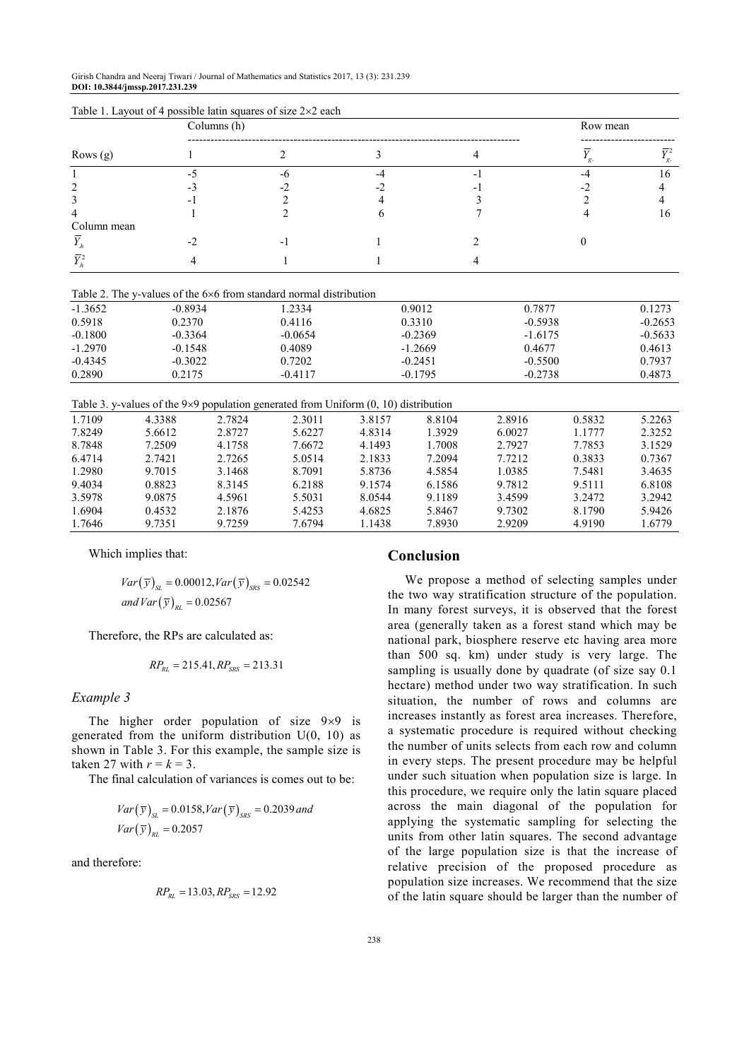| Girish Chandra and Neeraj Tiwari / Journal of Mathematics and Statistics 2017, 13 (3): 231.239 |  |  |
|------------------------------------------------------------------------------------------------|--|--|
| DOI: 10.3844/jmssp.2017.231.239                                                                |  |  |

| Rows $(g)$    | Columns (h) |    |  | Row mean |  |
|---------------|-------------|----|--|----------|--|
|               |             |    |  |          |  |
|               |             | -6 |  | $\sigma$ |  |
|               |             |    |  |          |  |
|               |             |    |  |          |  |
|               |             |    |  |          |  |
| Column mean   |             |    |  |          |  |
|               | $-2$        |    |  |          |  |
| $\bar{Y}_i^2$ |             |    |  |          |  |

|           | Table 2. The y-values of the $6\times6$ from standard normal distribution                    |                   |           |        |           |           |           |           |
|-----------|----------------------------------------------------------------------------------------------|-------------------|-----------|--------|-----------|-----------|-----------|-----------|
| $-1.3652$ | $-0.8934$                                                                                    |                   | 1.2334    | 0.9012 |           | 0.7877    |           | 0.1273    |
| 0.5918    | 0.2370                                                                                       |                   | 0.4116    |        | 0.3310    | $-0.5938$ |           | $-0.2653$ |
| $-0.1800$ | $-0.3364$                                                                                    |                   | $-0.0654$ |        | $-0.2369$ | $-1.6175$ |           | $-0.5633$ |
| $-1.2970$ | $-0.1548$                                                                                    |                   | 0.4089    |        | $-1.2669$ | 0.4677    |           | 0.4613    |
| $-0.4345$ | $-0.3022$                                                                                    |                   | 0.7202    |        | $-0.2451$ | $-0.5500$ |           | 0.7937    |
| 0.2890    |                                                                                              | 0.2175<br>-0.4117 |           |        | $-0.1795$ |           | $-0.2738$ |           |
|           |                                                                                              |                   |           |        |           |           |           |           |
|           | Table 3. y-values of the $9\times9$ population generated from Uniform $(0, 10)$ distribution |                   |           |        |           |           |           |           |
| 1.7109    | 4.3388                                                                                       | 2.7824            | 2.3011    | 3.8157 | 8.8104    | 2.8916    | 0.5832    | 5.2263    |
| 7.8249    | 5.6612                                                                                       | 2.8727            | 5.6227    | 4.8314 | 1.3929    | 6.0027    | 1.1777    | 2.3252    |
| 8.7848    | 7.2509                                                                                       | 4.1758            | 7.6672    | 4.1493 | 1.7008    | 2.7927    | 7.7853    | 3.1529    |
| 6.4714    | 2.7421                                                                                       | 2.7265            | 5.0514    | 2.1833 | 7.2094    | 7.7212    | 0.3833    | 0.7367    |
| 1.2980    | 9.7015                                                                                       | 3.1468            | 8.7091    | 5.8736 | 4.5854    | 1.0385    | 7.5481    | 3.4635    |
| 9.4034    | 0.8823                                                                                       | 8.3145            | 6.2188    | 9.1574 | 6.1586    | 9.7812    | 9.5111    | 6.8108    |
| 3.5978    | 9.0875                                                                                       | 4.5961            | 5.5031    | 8.0544 | 9.1189    | 3.4599    | 3.2472    | 3.2942    |
| 1.6904    | 0.4532                                                                                       | 2.1876            | 5.4253    | 4.6825 | 5.8467    | 9.7302    | 8.1790    | 5.9426    |
| 1.7646    | 9.7351                                                                                       | 9.7259            | 7.6794    | 1.1438 | 7.8930    | 2.9209    | 4.9190    | 1.6779    |

Which implies that:

$$
Var\left(\bar{y}\right)_{SL} = 0.00012, Var\left(\bar{y}\right)_{SRS} = 0.02542
$$
  
and  $Var\left(\bar{y}\right)_{RL} = 0.02567$ 

Therefore, the RPs are calculated as:

$$
RP_{\rm RL} = 215.41, RP_{\rm SRS} = 213.31
$$

*Example 3* 

The higher order population of size 9×9 is generated from the uniform distribution  $U(0, 10)$  as shown in Table 3. For this example, the sample size is taken 27 with  $r = k = 3$ .

The final calculation of variances is comes out to be:

$$
Var\left(\bar{y}\right)_{SL} = 0.0158, Var\left(\bar{y}\right)_{SRS} = 0.2039 \text{ and}
$$
  
 
$$
Var\left(\bar{y}\right)_{RL} = 0.2057
$$

and therefore:

$$
RP_{RL} = 13.03, RP_{SRS} = 12.92
$$

#### **Conclusion**

We propose a method of selecting samples under the two way stratification structure of the population. In many forest surveys, it is observed that the forest area (generally taken as a forest stand which may be national park, biosphere reserve etc having area more than 500 sq. km) under study is very large. The sampling is usually done by quadrate (of size say 0.1) hectare) method under two way stratification. In such situation, the number of rows and columns are increases instantly as forest area increases. Therefore, a systematic procedure is required without checking the number of units selects from each row and column in every steps. The present procedure may be helpful under such situation when population size is large. In this procedure, we require only the latin square placed across the main diagonal of the population for applying the systematic sampling for selecting the units from other latin squares. The second advantage of the large population size is that the increase of relative precision of the proposed procedure as population size increases. We recommend that the size of the latin square should be larger than the number of